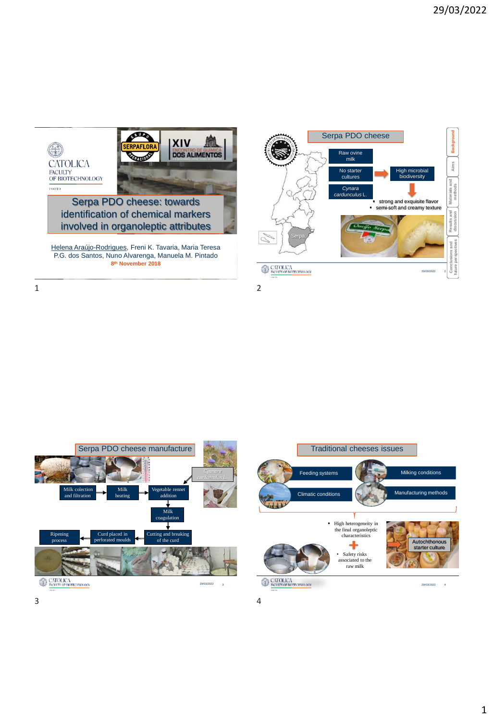

Helena Araújo-Rodrigues, Freni K. Tavaria, Maria Teresa P.G. dos Santos, Nuno Alvarenga, Manuela M. Pintado **8 th November 2018**



1 2

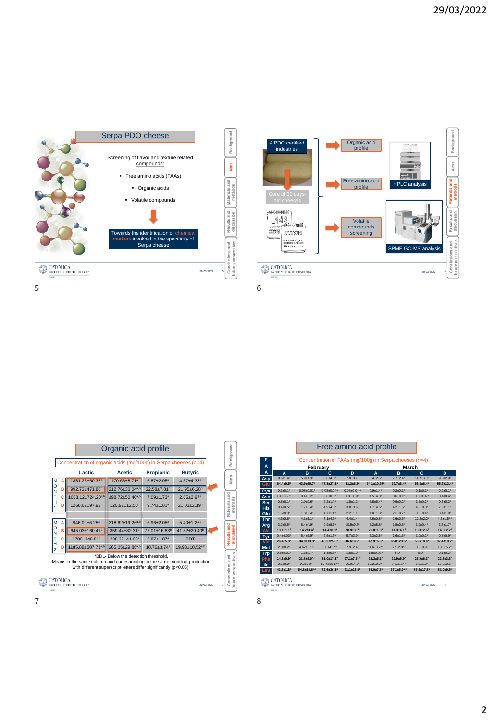



|                     |                                                                              |                                                                            | Organic acid profile                                              |                              |                              |  | Background                |  |  |
|---------------------|------------------------------------------------------------------------------|----------------------------------------------------------------------------|-------------------------------------------------------------------|------------------------------|------------------------------|--|---------------------------|--|--|
|                     |                                                                              | Concentration of organic acids (mg/100g) in Serpa cheeses (n=4)            |                                                                   |                              |                              |  |                           |  |  |
|                     |                                                                              | Lactic                                                                     | <b>Acetic</b>                                                     | <b>Propionic</b>             | <b>Butyric</b>               |  |                           |  |  |
| M                   |                                                                              | 1881.26±60.35ª                                                             | 170.66±8.71ª                                                      | $5.87 + 2.05^a$              | $4.37 + 4.38$ <sup>a</sup>   |  | Aims                      |  |  |
| $\circ$<br>N        | B                                                                            | 992.72±471.86 <sup>b</sup>                                                 | 212.76±30.04a,b                                                   | 22.58±7.81 <sup>b</sup>      | 21.95±6.28b                  |  |                           |  |  |
| T                   | c                                                                            | 1668.12±724.20a,b                                                          | 198.72±50.40a,b                                                   | 7.09±1.73ª                   | $2.65 + 2.97a$               |  |                           |  |  |
| Н                   | D                                                                            | 1268.02±97.92 <sup>b</sup>                                                 | 120.92±12.50 <sup>b</sup>                                         | $9.74 \pm 1.81$ <sup>a</sup> | $21.03 \pm 2.19^b$           |  | methods                   |  |  |
|                     |                                                                              |                                                                            |                                                                   |                              |                              |  | Materials and             |  |  |
| M                   | A                                                                            | 946.09±6.25ª                                                               | 318.62±19.26a,b                                                   | $6.96 \pm 2.05^a$            | $5.40 \pm 1.26$ <sup>a</sup> |  |                           |  |  |
| $\circ$<br>N        | B                                                                            | 645.03±160.41ª                                                             | 359.44±82.31 <sup>b</sup>                                         | 77.01±16.83 <sup>b</sup>     | 41.82±29.40 <sup>b</sup>     |  |                           |  |  |
| T                   | c                                                                            | 1700±348.81b                                                               | 238.27±41.03ª                                                     | $5.87 + 1.07a$               | <b>BDT</b>                   |  | Results and<br>discussion |  |  |
| Н<br>$\overline{a}$ | D                                                                            | 1185.88±507.73a,b                                                          | 265.05±29.86a,b                                                   | $10.76 + 3.74a$              | 19.93±10.52a,b               |  |                           |  |  |
|                     |                                                                              |                                                                            | *BDL-Below the detection threshold.                               |                              |                              |  | and                       |  |  |
|                     |                                                                              | Means in the same column and corresponding to the same month of production |                                                                   |                              |                              |  |                           |  |  |
|                     |                                                                              |                                                                            | with different superscript letters differ significantly (p<0.05). |                              |                              |  | perspectives              |  |  |
| <b>INGO TITLE</b>   | Conclusions<br>uture<br>'ATOLICA<br>29/03/2022<br>7<br>JLTY OF BIOTECHNOLOGY |                                                                            |                                                                   |                              |                              |  |                           |  |  |

|            |                                                                |                        |                                |                              | Free amino acid profile                                |                        |                           |                            |
|------------|----------------------------------------------------------------|------------------------|--------------------------------|------------------------------|--------------------------------------------------------|------------------------|---------------------------|----------------------------|
| F          |                                                                |                        |                                |                              | Concentration of FAAs (mg/100g) in Serpa cheeses (n=4) |                        |                           |                            |
| A          |                                                                | February<br>March      |                                |                              |                                                        |                        |                           |                            |
| A          | A                                                              | B                      | c.                             | D                            | A                                                      | в                      | c.                        | D                          |
| Asp        | $8.6 \pm 1.4^a$                                                | $5.9 \pm 1.3^a$        | $8.6 + 4.8^a$                  | $7.8 \pm 3.1^a$              | $5.4 \pm 2.5^a$                                        | $7.7 + 2.4^a$          | $11.2 \pm 3.0^b$          | $9.3 + 2.9^a$              |
| Glu        | $64.4{\pm}9.5^a$                                               | 43.9±10.7 <sup>a</sup> | 47.8±27.1ª                     | $51.3 \pm 6.6^a$             | 54.1±10.98 <sup>a</sup>                                | $22.7 \pm 6.4^b$       | $53.8 \pm 6.4^a$          | 55.7±12.4 <sup>a</sup>     |
| <b>Cys</b> | $0.1 \pm 0.1^a$                                                | $0.05{\pm}0.01^a$      | $0.05 \pm 0.04$ <sup>a</sup>   | $0.05 \pm 0.04$ <sup>a</sup> | $0.9 + 1.4^a$                                          | $0.2 \pm 0.1^a$        | $0.1 + 0.1a$              | $0.2{\pm}0.1^a$            |
| Asn        | $0.6{\pm}0.2a$                                                 | $0.4 \pm 0.2^a$        | $0.8{\pm}0.5^{\circ}$          | $0.3 \pm 0.04^a$             | $4.5 + 4.8^a$                                          | $0.6 \pm 0.1^a$        | $0.3{\pm}0.07^a$          | $0.4 \pm 0.4^a$            |
| Ser        | $0.5 \pm 0.1^a$                                                | $1.0{\pm}0.6^a$        | $2.2 \pm 1.4^a$                | $1.8 + 1.2^a$                | $5.8 \pm 6.4^a$                                        | $0.6 \pm 0.2^a$        | $1.5 \pm 0.2^a$           | $0.5 \pm 0.2^a$            |
| <b>His</b> | $0.4 \pm 0.5^a$                                                | $1.7 \pm 0.4^a$        | $4.9 + 4.8^a$                  | $3.8 + 3.6^*$                | $4.7 + 4.6^a$                                          | $4.2 \pm 1.5^a$        | $4.5 \pm 0.8^a$           | $7.8 + 1.1a$               |
| GIn        | $1.5 \pm 0.3^a$                                                | $1.3 \pm 0.4^a$        | $1.7 + 1.1^a$                  | $2.2 + 1.1^a$                | $1.8 + 1.3a$                                           | $2.1 \pm 0.7^a$        | $3.8 \pm 0.4^a$           | $3.4 \pm 1.8^a$            |
| Thr        | $4.5 \pm 0.6^a$                                                | $4.1 \pm 1.1^a$        | $7.1 + 4.2^a$                  | $4.4 \pm 1.4^a$              | $5.6 \pm 0.8^a$                                        | $2.6 \pm 0.6^b$        | $12.2 + 2.2$ <sup>c</sup> | $4.3 \pm 1.5^{a,b}$        |
| Arg        | $3.2 \pm 0.5^a$                                                | $6.4 + 4.9^a$          | $9.9 + 8.5^{\circ}$            | $10.5 \pm 9.3^a$             | $6.2 \pm 8.8^a$                                        | $1.8 \pm 0.8^a$        | $1.2 \pm 0.4^a$           | $3.3 \pm 1.7^a$            |
| Ala        | $13.1 \pm 1.1^a$                                               | $14.2 + 8.4^a$         | $14.4 \pm 8.5^a$               | $20.9 \pm 3.3^a$             | $21.8 \pm 1.8^a$                                       | $14.3 + 4.1b$          | $13.9{\pm}2.6^b$          | $14.8 \pm 2.2^b$           |
| Tyr        | $0.4 \pm 0.03^a$                                               | $5.4 \pm 3.9^a$        | $2.5 \pm 1.6^a$                | $5.7 \pm 3.9^a$              | $3.3 + 2.8^a$                                          | $1.6 \pm 1.6^a$        | $1.0 \pm 0.2^a$           | $0.8{\pm}0.9^a$            |
| Val        | $26.4{\pm}5.3^a$                                               | $34.8 \pm 13.3^a$      | 46.3±25.6ª                     | 46.6±9.9ª                    | $42.9 \pm 6.8^a$                                       | 65.0±23.5ª             | $55.6 \pm 8.9^a$          | 82.4±19.2 <sup>b</sup>     |
| Met        | $2.0 \pm 0.2^a$                                                | $4.62{\pm}3.1^{a,b}$   | $6.0+4.1^{a,b}$                | $7.9{\pm}2.4^{b}$            | $11.6 \pm 3.2$ <sup>a,d</sup>                          | $5.7{\pm}2.0*$         | $3.8 \pm 0.9^{\circ}$     | $13.3 + 5.2d$              |
| <b>Trp</b> | $0.6 \pm 0.01$ <sup>a</sup>                                    | $1.3 \pm 0.7^a$        | $1.3 + 0.24$                   | $1.8 + 1.0$ <sup>a</sup>     | $1.5 \pm 0.02$ <sup>a</sup>                            | <b>BDT</b>             | BDT                       | $0.1 \pm 0.2$ <sup>a</sup> |
| <b>Phe</b> | $14.3 \pm 0.9^a$                                               | $21.8 \pm 5.0$ ab      | 31.0±17.1 <sup>b</sup>         | $27.1 \pm 7.5^{a,b}$         | $22.3 \pm 5.1^a$                                       | $22.9 \pm 5.9^{\circ}$ | $25.9 \pm 6.3^a$          | $22.8 \pm 3.6^*$           |
| lle        | $2.5 \pm 0.2^a$                                                | $9.3{\pm}6.0^{a,b}$    | $12.4 \pm 10.1$ <sup>a,b</sup> | $16.0 + 4.7b$                | $10.2 \pm 0.9^{a,b}$                                   | $9.6 \pm 5.6$ a,b      | $6.6 \pm 1.2^a$           | $15.2 + 2.6^b$             |
| Leu        | $41.3 \pm 1.8^a$                                               | $54.8 \pm 13.6$ a,b    | 72.6±36.1 <sup>b</sup>         | 71.1±13.6 <sup>b</sup>       | $56.0{\pm}7.6^a$                                       | 67.1±5.9a,b            | 83.5±17.8 <sup>b</sup>    | $81.0 \pm 9.5^{\rm b}$     |
|            | CATOLICA<br>8<br><b>ENCULTY OF BIOTECHNOLOGY</b><br>29/03/2022 |                        |                                |                              |                                                        |                        |                           |                            |

 $7$  8

L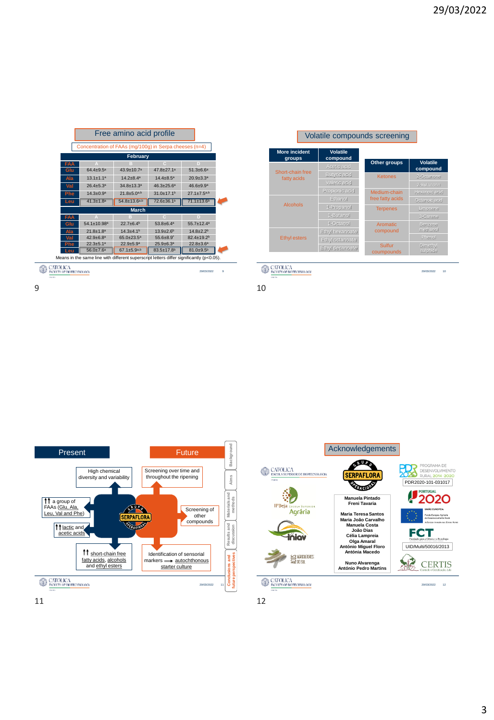|                                                                                             |                                                                                        | Free amino acid profile      |                             |                             |  |  |  |
|---------------------------------------------------------------------------------------------|----------------------------------------------------------------------------------------|------------------------------|-----------------------------|-----------------------------|--|--|--|
|                                                                                             | Concentration of FAAs (mg/100g) in Serpa cheeses (n=4)                                 |                              |                             |                             |  |  |  |
|                                                                                             |                                                                                        | February                     |                             |                             |  |  |  |
| <b>FAA</b>                                                                                  |                                                                                        |                              | п                           | D                           |  |  |  |
| Glu                                                                                         | $64.4 \pm 9.5^a$                                                                       | $43.9 + 10.7a$               | $47.8 + 27.1a$              | $51.3 \pm 6.6^a$            |  |  |  |
| Ala                                                                                         | $13.1 + 1.1a$                                                                          | $14.2 + 8.4^a$               | $14.4 \pm 8.5^a$            | $20.9 \pm 3.3$ <sup>a</sup> |  |  |  |
| Val                                                                                         | $26.4 \pm 5.3^a$                                                                       | $34.8 \pm 13.3$ <sup>a</sup> | $46.3 \pm 25.6^a$           | 46.6±9.9ª                   |  |  |  |
| Phe                                                                                         | $14.3 + 0.9a$                                                                          | $21.8 \pm 5.0^{a,b}$         | $31.0 + 17.1b$              | $27.1 \pm 7.5^{a,b}$        |  |  |  |
| Leu                                                                                         | $41.3 \pm 1.8$ <sup>a</sup>                                                            | $54.8 \pm 13.6^{a,b}$        | 72.6±36.1 <sup>b</sup>      | 71.1±13.6 <sup>b</sup>      |  |  |  |
|                                                                                             |                                                                                        | <b>March</b>                 |                             |                             |  |  |  |
| FAA                                                                                         |                                                                                        |                              | $\mathbb{C}$                | D                           |  |  |  |
| Glu                                                                                         | 54.1±10.98ª                                                                            | $22.7 + 6.4b$                | $53.8 + 6.4^a$              | $55.7 + 12.4^a$             |  |  |  |
| Ala                                                                                         | $21.8 \pm 1.8$ <sup>a</sup>                                                            | $14.3 + 4.1b$                | $13.9 \pm 2.6^b$            | $14.8 + 2.2b$               |  |  |  |
| Val                                                                                         | $42.9 + 6.8a$                                                                          | $65.0 + 23.5^a$              | $55.6{\pm}8.9^*$            | 82.4±19.2 <sup>b</sup>      |  |  |  |
| <b>Phe</b>                                                                                  | $22.3 + 5.1a$                                                                          | $22.9 + 5.9$ <sup>a</sup>    | $25.9 \pm 6.3$ <sup>a</sup> | $22.8 \pm 3.6^a$            |  |  |  |
| Leu                                                                                         | 83.5±17.8 <sup>b</sup><br>$81.0 + 9.5^{b}$<br>$67.1 \pm 5.9^{a,b}$<br>$56.0{\pm}7.6^a$ |                              |                             |                             |  |  |  |
| Means in the same line with different superscript letters differ significantly $(p<0.05)$ . |                                                                                        |                              |                             |                             |  |  |  |
| ä<br><b>ENCLILITY OF BIOTECHNOLOGY</b><br>29/03/2022                                        |                                                                                        |                              |                             |                             |  |  |  |

## Volatile compounds screening

**Volatile** 

| <b>More incident</b><br>groups              | <b>Volatile</b><br>compound |                      |                                |
|---------------------------------------------|-----------------------------|----------------------|--------------------------------|
| Short-chain free                            | Acetic acid                 | Other groups         | <b>Volatile</b><br>compound    |
| fatty acids                                 | Butyric acid                | <b>Ketones</b>       | 2-Octanone                     |
|                                             | Valeric acid                |                      | 2-Butanone                     |
|                                             | Propionic acid              | Medium-chain         | Hexanoic acid                  |
|                                             | Ethanol                     | free fatty acids     | Octanoic acid                  |
| Alcohols                                    | 1-Propanol                  | <b>Terpenes</b>      | Limonene                       |
|                                             | 1-Butanol                   |                      | 3-Carene                       |
|                                             | 1-Octanol                   | Aromatic             | Benzene                        |
|                                             | Ethyl hexanoate             | compound             | methanol                       |
| <b>Ethyl esters</b>                         | Ethyl octanoate             |                      | Phenol                         |
|                                             | Ethyl decanoate             | Sulfur<br>coumpounds | Dimethyl<br>sulphide           |
|                                             |                             |                      |                                |
| CATOLICA<br><b>ENCULTY OF BIOTECHNOLOGY</b> |                             |                      | 10 <sub>10</sub><br>29/03/2022 |

9 10